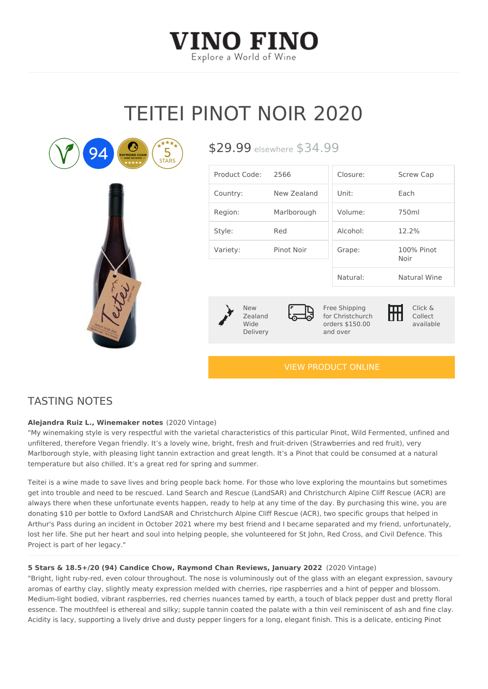## TEITEI PINOT NOIR 2020

| Product Code2:566                  |                     | Closure:                                                                           | Screw Cap          |
|------------------------------------|---------------------|------------------------------------------------------------------------------------|--------------------|
| Country:                           | New Zealand Unit:   |                                                                                    | $E$ a c $h$        |
| Region:                            | Marlborough Volume: |                                                                                    | 750ml              |
| Style:                             | Red                 | $A$ $c$ oho $l$ :                                                                  | $12.2\%$           |
| Variety:                           | Pinot Noir          | Grape:                                                                             | 100% Pinot<br>Noir |
|                                    |                     | Natural:                                                                           | Natural Wine       |
| New<br>Zealand<br>Wide<br>Delivery |                     | Free Shipping<br>for Christchurch Collect<br>orders \$150.00 available<br>and over | Click &            |

 $$29.99$ sewhere  $$34.99$ 

[VIEW PRODUCT ONLINE](https://vinofino.co.nz/product/teitei-pinot-noir-2020/)

## TASTING NOTES

Alejandra Ruiz L., Winemaker (2020sVintage)

"My winemaking style is very respectful with the varietal characteristics of this particular Pinot unfiltered, therefore Vegan friendly. It s a lovely wine, bright, fresh and fruit-driven (Strawber) Marlborough style, with pleasing light tannin extraction and great length. It s a Pinot that could temperature but also chilled. It s a great red for spring and summer.

Teitei is a wine made to save lives and bring people back home. For those who love exploring the mountains but sometimes but sometimes but in mountains but in the mountains but sometimes and the mountains but sometimes a w get into trouble and need to be rescued. Land Search and Rescue (LandSAR) and Christchurch , always there when these unfortunate events happen, ready to help at any time of the day. By purchasing the thi donating \$10 per bottle to Oxford LandSAR and Christchurch Alpine Cliff Rescue (ACR), two spe Arthur's Pass during an incident in October 2021 where my best friend and I became separated lost her life. She put her heart and soul into helping people, she volunteered for St John, Red Project is part of her legacy."

5 Stars & 18.5+/20 (94) Candice Chow, Raymond Chan Reviews(2020ubingt 2022 "Bright, light ruby-red, even colour throughout. The nose is voluminously out of the glass with aromas of earthy clay, slightly meaty expression melded with cherries, ripe raspberries and a h Medium-light bodied, vibrant raspberries, red cherries nuances tamed by earth, a touch of blacl essence. The mouthfeel is ethereal and silky; supple tannin coated the palate with a thin veil r Acidity is lacy, supporting a lively drive and dusty pepper lingers for a long, elegant finish. Th